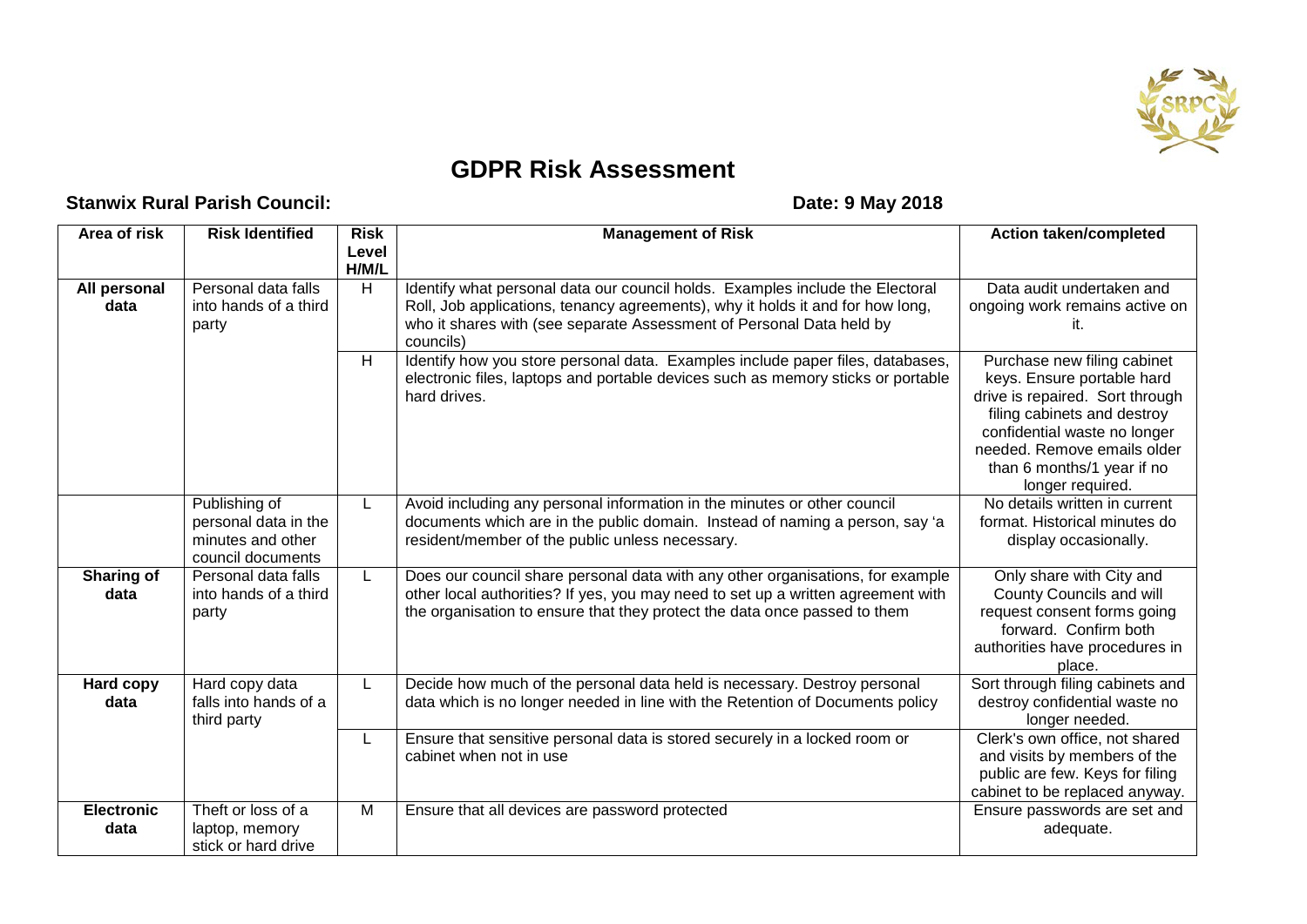

## **GDPR Risk Assessment**

## **Stanwix Rural Parish Council: Date:** 9 May 2018

| Area of risk              | <b>Risk Identified</b>                                                          | <b>Risk</b><br>Level<br>H/M/L | <b>Management of Risk</b>                                                                                                                                                                                                                            | <b>Action taken/completed</b>                                                                                                                                                                                                                |
|---------------------------|---------------------------------------------------------------------------------|-------------------------------|------------------------------------------------------------------------------------------------------------------------------------------------------------------------------------------------------------------------------------------------------|----------------------------------------------------------------------------------------------------------------------------------------------------------------------------------------------------------------------------------------------|
| All personal<br>data      | Personal data falls<br>into hands of a third<br>party                           | H                             | Identify what personal data our council holds. Examples include the Electoral<br>Roll, Job applications, tenancy agreements), why it holds it and for how long,<br>who it shares with (see separate Assessment of Personal Data held by<br>councils) | Data audit undertaken and<br>ongoing work remains active on<br>it.                                                                                                                                                                           |
|                           |                                                                                 | H                             | Identify how you store personal data. Examples include paper files, databases,<br>electronic files, laptops and portable devices such as memory sticks or portable<br>hard drives.                                                                   | Purchase new filing cabinet<br>keys. Ensure portable hard<br>drive is repaired. Sort through<br>filing cabinets and destroy<br>confidential waste no longer<br>needed. Remove emails older<br>than 6 months/1 year if no<br>longer required. |
|                           | Publishing of<br>personal data in the<br>minutes and other<br>council documents | L                             | Avoid including any personal information in the minutes or other council<br>documents which are in the public domain. Instead of naming a person, say 'a<br>resident/member of the public unless necessary.                                          | No details written in current<br>format. Historical minutes do<br>display occasionally.                                                                                                                                                      |
| <b>Sharing of</b><br>data | Personal data falls<br>into hands of a third<br>party                           | L                             | Does our council share personal data with any other organisations, for example<br>other local authorities? If yes, you may need to set up a written agreement with<br>the organisation to ensure that they protect the data once passed to them      | Only share with City and<br>County Councils and will<br>request consent forms going<br>forward. Confirm both<br>authorities have procedures in<br>place.                                                                                     |
| Hard copy<br>data         | Hard copy data<br>falls into hands of a<br>third party                          | L                             | Decide how much of the personal data held is necessary. Destroy personal<br>data which is no longer needed in line with the Retention of Documents policy                                                                                            | Sort through filing cabinets and<br>destroy confidential waste no<br>longer needed.                                                                                                                                                          |
|                           |                                                                                 | L                             | Ensure that sensitive personal data is stored securely in a locked room or<br>cabinet when not in use                                                                                                                                                | Clerk's own office, not shared<br>and visits by members of the<br>public are few. Keys for filing<br>cabinet to be replaced anyway.                                                                                                          |
| <b>Electronic</b><br>data | Theft or loss of a<br>laptop, memory<br>stick or hard drive                     | M                             | Ensure that all devices are password protected                                                                                                                                                                                                       | Ensure passwords are set and<br>adequate.                                                                                                                                                                                                    |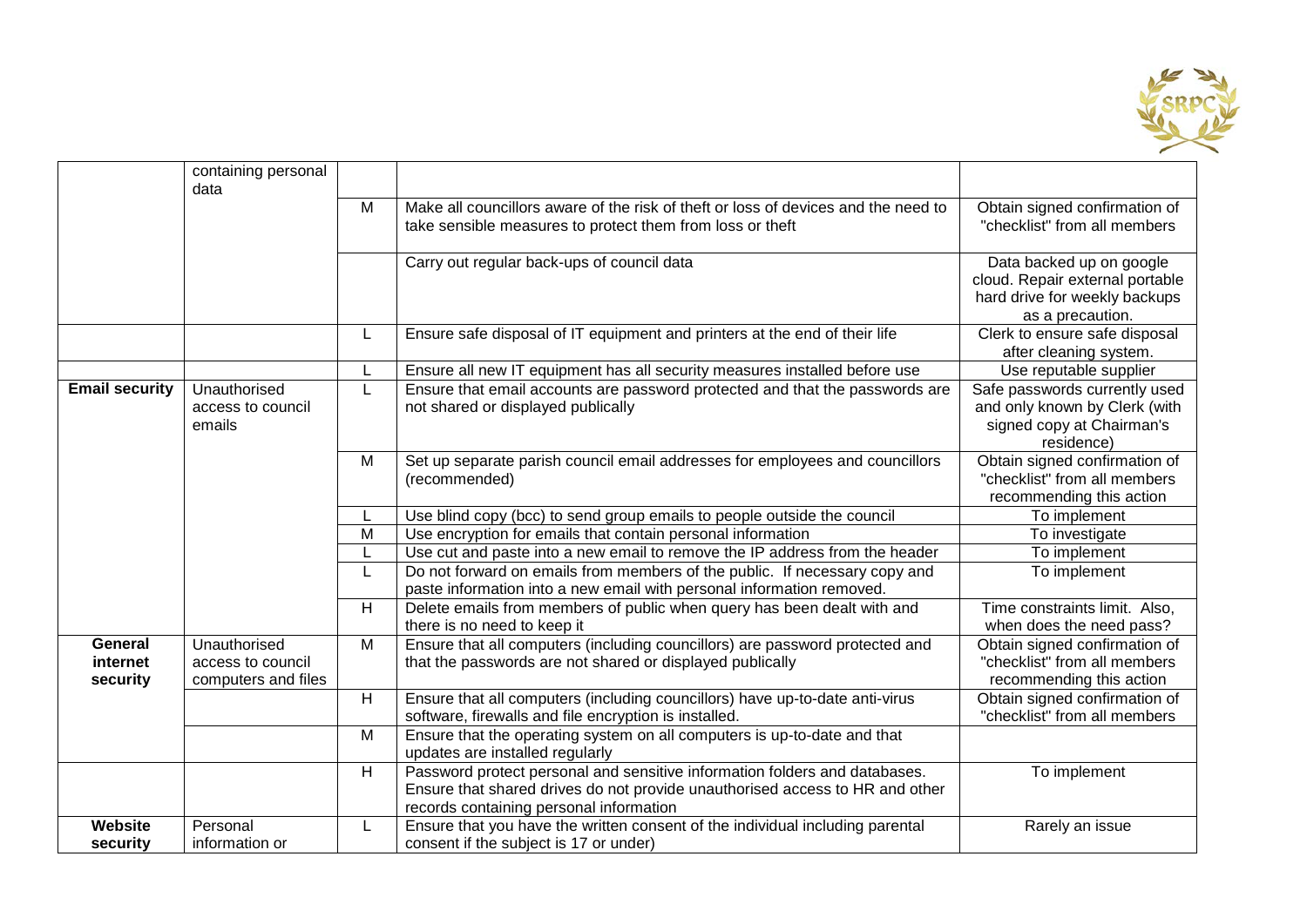

|                                 | containing personal<br>data                              |                |                                                                                                                                                                                                       |                                                                                                                  |
|---------------------------------|----------------------------------------------------------|----------------|-------------------------------------------------------------------------------------------------------------------------------------------------------------------------------------------------------|------------------------------------------------------------------------------------------------------------------|
|                                 |                                                          | $\overline{M}$ | Make all councillors aware of the risk of theft or loss of devices and the need to<br>take sensible measures to protect them from loss or theft                                                       | Obtain signed confirmation of<br>"checklist" from all members                                                    |
|                                 |                                                          |                | Carry out regular back-ups of council data                                                                                                                                                            | Data backed up on google<br>cloud. Repair external portable<br>hard drive for weekly backups<br>as a precaution. |
|                                 |                                                          | L              | Ensure safe disposal of IT equipment and printers at the end of their life                                                                                                                            | Clerk to ensure safe disposal<br>after cleaning system.                                                          |
|                                 |                                                          | L              | Ensure all new IT equipment has all security measures installed before use                                                                                                                            | Use reputable supplier                                                                                           |
| <b>Email security</b>           | Unauthorised<br>access to council<br>emails              | L              | Ensure that email accounts are password protected and that the passwords are<br>not shared or displayed publically                                                                                    | Safe passwords currently used<br>and only known by Clerk (with<br>signed copy at Chairman's<br>residence)        |
|                                 |                                                          | M              | Set up separate parish council email addresses for employees and councillors<br>(recommended)                                                                                                         | Obtain signed confirmation of<br>"checklist" from all members<br>recommending this action                        |
|                                 |                                                          | L              | Use blind copy (bcc) to send group emails to people outside the council                                                                                                                               | To implement                                                                                                     |
|                                 |                                                          | M              | Use encryption for emails that contain personal information                                                                                                                                           | To investigate                                                                                                   |
|                                 |                                                          | L              | Use cut and paste into a new email to remove the IP address from the header                                                                                                                           | To implement                                                                                                     |
|                                 |                                                          | L              | Do not forward on emails from members of the public. If necessary copy and<br>paste information into a new email with personal information removed.                                                   | To implement                                                                                                     |
|                                 |                                                          | H              | Delete emails from members of public when query has been dealt with and<br>there is no need to keep it                                                                                                | Time constraints limit. Also,<br>when does the need pass?                                                        |
| General<br>internet<br>security | Unauthorised<br>access to council<br>computers and files | M              | Ensure that all computers (including councillors) are password protected and<br>that the passwords are not shared or displayed publically                                                             | Obtain signed confirmation of<br>"checklist" from all members<br>recommending this action                        |
|                                 |                                                          | H              | Ensure that all computers (including councillors) have up-to-date anti-virus<br>software, firewalls and file encryption is installed.                                                                 | Obtain signed confirmation of<br>"checklist" from all members                                                    |
|                                 |                                                          | M              | Ensure that the operating system on all computers is up-to-date and that<br>updates are installed regularly                                                                                           |                                                                                                                  |
|                                 |                                                          | H              | Password protect personal and sensitive information folders and databases.<br>Ensure that shared drives do not provide unauthorised access to HR and other<br>records containing personal information | To implement                                                                                                     |
| Website<br>security             | Personal<br>information or                               | L              | Ensure that you have the written consent of the individual including parental<br>consent if the subject is 17 or under)                                                                               | Rarely an issue                                                                                                  |